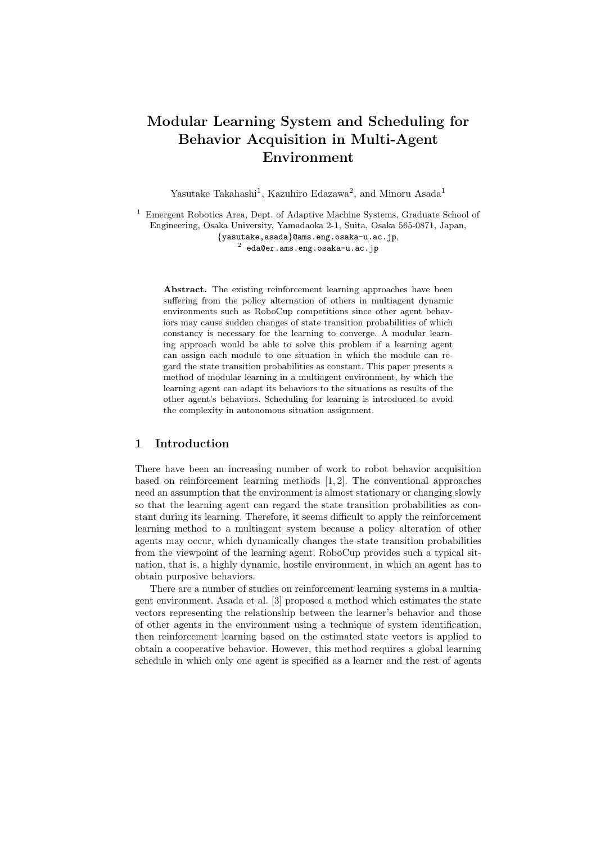# Modular Learning System and Scheduling for Behavior Acquisition in Multi-Agent Environment

Yasutake Takahashi<sup>1</sup>, Kazuhiro Edazawa<sup>2</sup>, and Minoru Asada<sup>1</sup>

<sup>1</sup> Emergent Robotics Area, Dept. of Adaptive Machine Systems, Graduate School of Engineering, Osaka University, Yamadaoka 2-1, Suita, Osaka 565-0871, Japan, {yasutake,asada}@ams.eng.osaka-u.ac.jp,  $^2$  eda@er.ams.eng.osaka-u.ac.jp

Abstract. The existing reinforcement learning approaches have been suffering from the policy alternation of others in multiagent dynamic environments such as RoboCup competitions since other agent behaviors may cause sudden changes of state transition probabilities of which constancy is necessary for the learning to converge. A modular learning approach would be able to solve this problem if a learning agent can assign each module to one situation in which the module can regard the state transition probabilities as constant. This paper presents a method of modular learning in a multiagent environment, by which the learning agent can adapt its behaviors to the situations as results of the other agent's behaviors. Scheduling for learning is introduced to avoid the complexity in autonomous situation assignment.

# 1 Introduction

There have been an increasing number of work to robot behavior acquisition based on reinforcement learning methods [1, 2]. The conventional approaches need an assumption that the environment is almost stationary or changing slowly so that the learning agent can regard the state transition probabilities as constant during its learning. Therefore, it seems difficult to apply the reinforcement learning method to a multiagent system because a policy alteration of other agents may occur, which dynamically changes the state transition probabilities from the viewpoint of the learning agent. RoboCup provides such a typical situation, that is, a highly dynamic, hostile environment, in which an agent has to obtain purposive behaviors.

There are a number of studies on reinforcement learning systems in a multiagent environment. Asada et al. [3] proposed a method which estimates the state vectors representing the relationship between the learner's behavior and those of other agents in the environment using a technique of system identification, then reinforcement learning based on the estimated state vectors is applied to obtain a cooperative behavior. However, this method requires a global learning schedule in which only one agent is specified as a learner and the rest of agents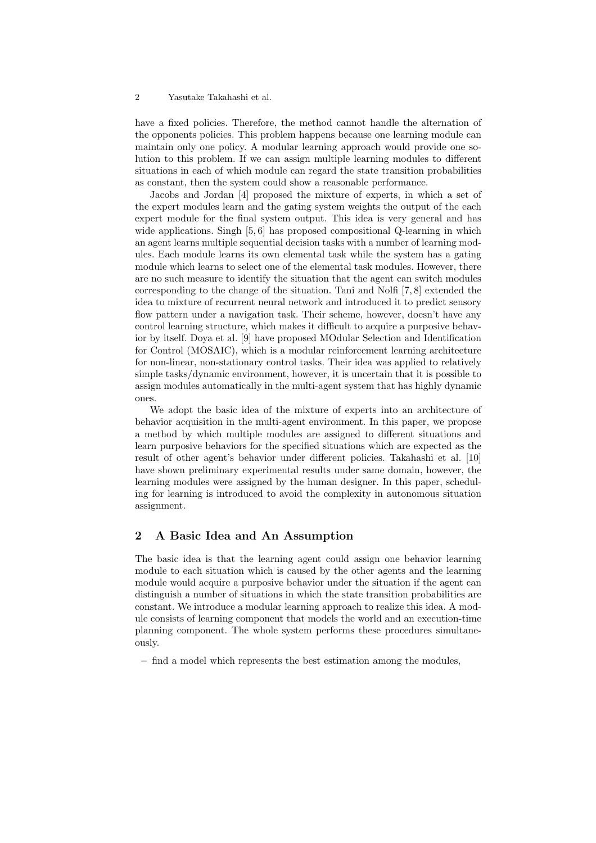have a fixed policies. Therefore, the method cannot handle the alternation of the opponents policies. This problem happens because one learning module can maintain only one policy. A modular learning approach would provide one solution to this problem. If we can assign multiple learning modules to different situations in each of which module can regard the state transition probabilities as constant, then the system could show a reasonable performance.

Jacobs and Jordan [4] proposed the mixture of experts, in which a set of the expert modules learn and the gating system weights the output of the each expert module for the final system output. This idea is very general and has wide applications. Singh [5, 6] has proposed compositional Q-learning in which an agent learns multiple sequential decision tasks with a number of learning modules. Each module learns its own elemental task while the system has a gating module which learns to select one of the elemental task modules. However, there are no such measure to identify the situation that the agent can switch modules corresponding to the change of the situation. Tani and Nolfi [7, 8] extended the idea to mixture of recurrent neural network and introduced it to predict sensory flow pattern under a navigation task. Their scheme, however, doesn't have any control learning structure, which makes it difficult to acquire a purposive behavior by itself. Doya et al. [9] have proposed MOdular Selection and Identification for Control (MOSAIC), which is a modular reinforcement learning architecture for non-linear, non-stationary control tasks. Their idea was applied to relatively simple tasks/dynamic environment, however, it is uncertain that it is possible to assign modules automatically in the multi-agent system that has highly dynamic ones.

We adopt the basic idea of the mixture of experts into an architecture of behavior acquisition in the multi-agent environment. In this paper, we propose a method by which multiple modules are assigned to different situations and learn purposive behaviors for the specified situations which are expected as the result of other agent's behavior under different policies. Takahashi et al. [10] have shown preliminary experimental results under same domain, however, the learning modules were assigned by the human designer. In this paper, scheduling for learning is introduced to avoid the complexity in autonomous situation assignment.

# 2 A Basic Idea and An Assumption

The basic idea is that the learning agent could assign one behavior learning module to each situation which is caused by the other agents and the learning module would acquire a purposive behavior under the situation if the agent can distinguish a number of situations in which the state transition probabilities are constant. We introduce a modular learning approach to realize this idea. A module consists of learning component that models the world and an execution-time planning component. The whole system performs these procedures simultaneously.

– find a model which represents the best estimation among the modules,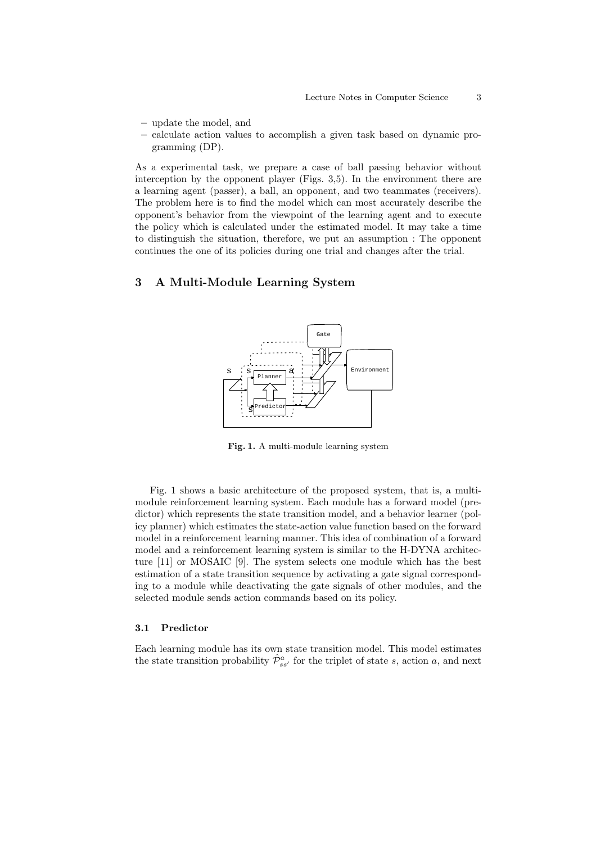- update the model, and
- calculate action values to accomplish a given task based on dynamic programming (DP).

As a experimental task, we prepare a case of ball passing behavior without interception by the opponent player (Figs. 3,5). In the environment there are a learning agent (passer), a ball, an opponent, and two teammates (receivers). The problem here is to find the model which can most accurately describe the opponent's behavior from the viewpoint of the learning agent and to execute the policy which is calculated under the estimated model. It may take a time to distinguish the situation, therefore, we put an assumption : The opponent continues the one of its policies during one trial and changes after the trial.

# 3 A Multi-Module Learning System



Fig. 1. A multi-module learning system

Fig. 1 shows a basic architecture of the proposed system, that is, a multimodule reinforcement learning system. Each module has a forward model (predictor) which represents the state transition model, and a behavior learner (policy planner) which estimates the state-action value function based on the forward model in a reinforcement learning manner. This idea of combination of a forward model and a reinforcement learning system is similar to the H-DYNA architecture [11] or MOSAIC [9]. The system selects one module which has the best estimation of a state transition sequence by activating a gate signal corresponding to a module while deactivating the gate signals of other modules, and the selected module sends action commands based on its policy.

#### 3.1 Predictor

Each learning module has its own state transition model. This model estimates the state transition probability  $\hat{\mathcal{P}}_{ss'}^a$  for the triplet of state s, action a, and next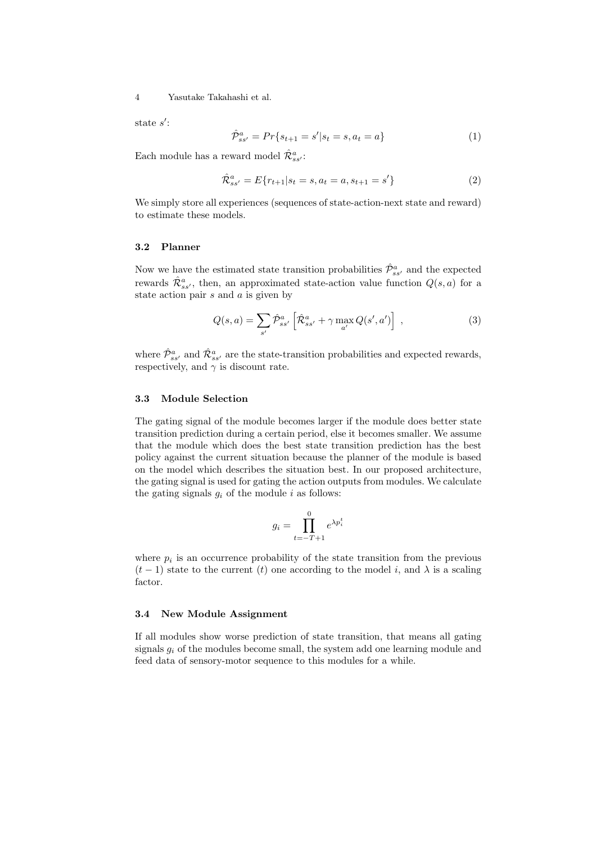state  $s'$ :

$$
\hat{\mathcal{P}}_{ss'}^a = Pr\{s_{t+1} = s'|s_t = s, a_t = a\}
$$
\n(1)

Each module has a reward model  $\hat{\mathcal{R}}^a_{ss'}$ :

$$
\hat{\mathcal{R}}_{ss'}^a = E\{r_{t+1}|s_t = s, a_t = a, s_{t+1} = s'\}\tag{2}
$$

We simply store all experiences (sequences of state-action-next state and reward) to estimate these models.

### 3.2 Planner

Now we have the estimated state transition probabilities  $\hat{\mathcal{P}}^a_{ss'}$  and the expected rewards  $\hat{\mathcal{R}}_{ss'}^a$ , then, an approximated state-action value function  $Q(s, a)$  for a state action pair  $s$  and  $a$  is given by

$$
Q(s,a) = \sum_{s'} \hat{\mathcal{P}}_{ss'}^a \left[ \hat{\mathcal{R}}_{ss'}^a + \gamma \max_{a'} Q(s',a') \right] , \qquad (3)
$$

where  $\hat{\mathcal{P}}^a_{ss'}$  and  $\hat{\mathcal{R}}^a_{ss'}$  are the state-transition probabilities and expected rewards, respectively, and  $\gamma$  is discount rate.

### 3.3 Module Selection

The gating signal of the module becomes larger if the module does better state transition prediction during a certain period, else it becomes smaller. We assume that the module which does the best state transition prediction has the best policy against the current situation because the planner of the module is based on the model which describes the situation best. In our proposed architecture, the gating signal is used for gating the action outputs from modules. We calculate the gating signals  $g_i$  of the module i as follows:

$$
g_i = \prod_{t=-T+1}^{0} e^{\lambda p_i^t}
$$

where  $p_i$  is an occurrence probability of the state transition from the previous  $(t-1)$  state to the current  $(t)$  one according to the model i, and  $\lambda$  is a scaling factor.

#### 3.4 New Module Assignment

If all modules show worse prediction of state transition, that means all gating signals  $q_i$  of the modules become small, the system add one learning module and feed data of sensory-motor sequence to this modules for a while.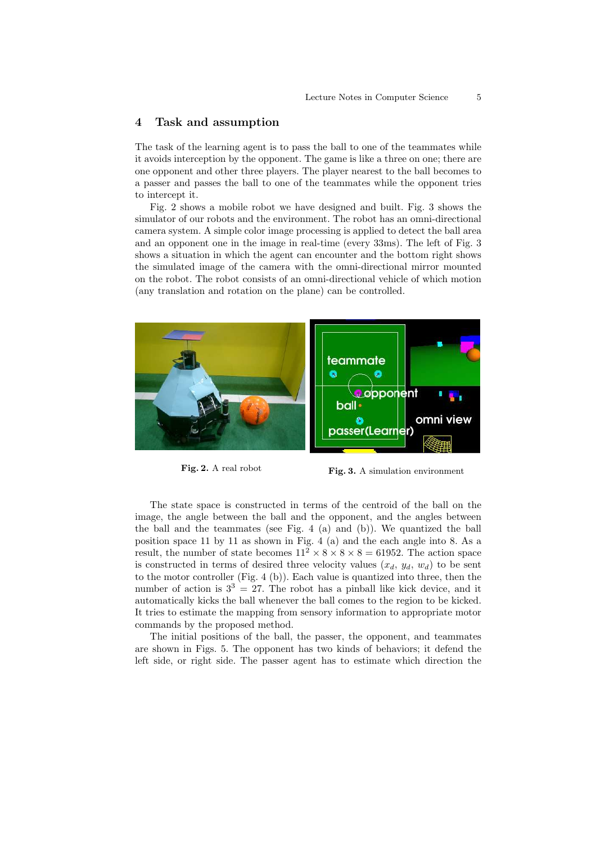### 4 Task and assumption

The task of the learning agent is to pass the ball to one of the teammates while it avoids interception by the opponent. The game is like a three on one; there are one opponent and other three players. The player nearest to the ball becomes to a passer and passes the ball to one of the teammates while the opponent tries to intercept it.

Fig. 2 shows a mobile robot we have designed and built. Fig. 3 shows the simulator of our robots and the environment. The robot has an omni-directional camera system. A simple color image processing is applied to detect the ball area and an opponent one in the image in real-time (every 33ms). The left of Fig. 3 shows a situation in which the agent can encounter and the bottom right shows the simulated image of the camera with the omni-directional mirror mounted on the robot. The robot consists of an omni-directional vehicle of which motion (any translation and rotation on the plane) can be controlled.



Fig. 2. A real robot Fig. 3. A simulation environment

The state space is constructed in terms of the centroid of the ball on the image, the angle between the ball and the opponent, and the angles between the ball and the teammates (see Fig. 4 (a) and (b)). We quantized the ball position space 11 by 11 as shown in Fig. 4 (a) and the each angle into 8. As a result, the number of state becomes  $11^2 \times 8 \times 8 \times 8 = 61952$ . The action space is constructed in terms of desired three velocity values  $(x_d, y_d, w_d)$  to be sent to the motor controller (Fig. 4 (b)). Each value is quantized into three, then the number of action is  $3^3 = 27$ . The robot has a pinball like kick device, and it automatically kicks the ball whenever the ball comes to the region to be kicked. It tries to estimate the mapping from sensory information to appropriate motor commands by the proposed method.

The initial positions of the ball, the passer, the opponent, and teammates are shown in Figs. 5. The opponent has two kinds of behaviors; it defend the left side, or right side. The passer agent has to estimate which direction the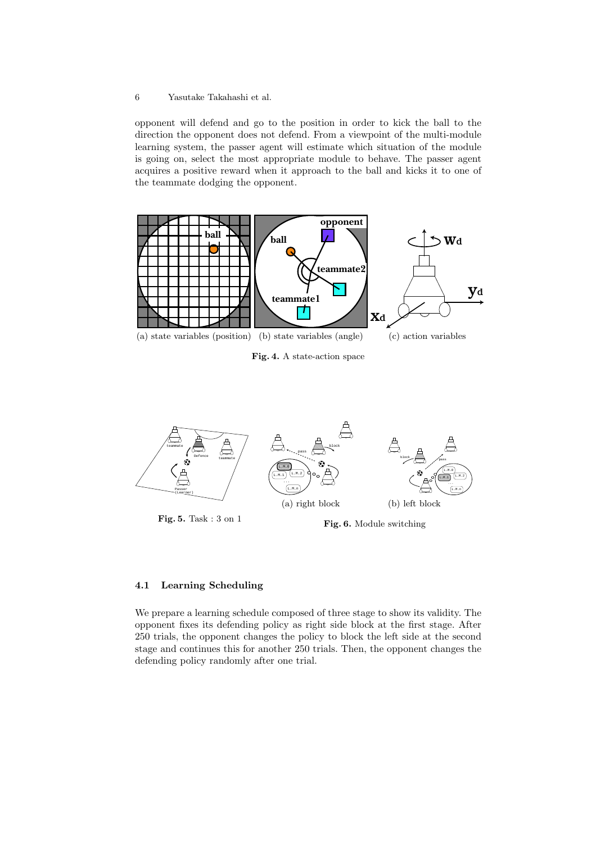opponent will defend and go to the position in order to kick the ball to the direction the opponent does not defend. From a viewpoint of the multi-module learning system, the passer agent will estimate which situation of the module is going on, select the most appropriate module to behave. The passer agent acquires a positive reward when it approach to the ball and kicks it to one of the teammate dodging the opponent.



Fig. 4. A state-action space



Fig. 6. Module switching

# 4.1 Learning Scheduling

We prepare a learning schedule composed of three stage to show its validity. The opponent fixes its defending policy as right side block at the first stage. After 250 trials, the opponent changes the policy to block the left side at the second stage and continues this for another 250 trials. Then, the opponent changes the defending policy randomly after one trial.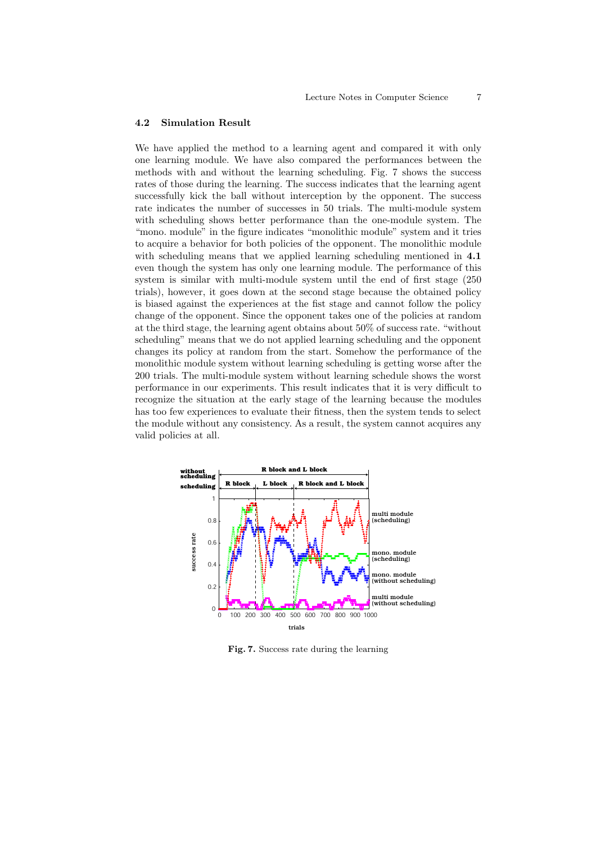#### 4.2 Simulation Result

We have applied the method to a learning agent and compared it with only one learning module. We have also compared the performances between the methods with and without the learning scheduling. Fig. 7 shows the success rates of those during the learning. The success indicates that the learning agent successfully kick the ball without interception by the opponent. The success rate indicates the number of successes in 50 trials. The multi-module system with scheduling shows better performance than the one-module system. The "mono. module" in the figure indicates "monolithic module" system and it tries to acquire a behavior for both policies of the opponent. The monolithic module with scheduling means that we applied learning scheduling mentioned in 4.1 even though the system has only one learning module. The performance of this system is similar with multi-module system until the end of first stage (250 trials), however, it goes down at the second stage because the obtained policy is biased against the experiences at the fist stage and cannot follow the policy change of the opponent. Since the opponent takes one of the policies at random at the third stage, the learning agent obtains about 50% of success rate. "without scheduling" means that we do not applied learning scheduling and the opponent changes its policy at random from the start. Somehow the performance of the monolithic module system without learning scheduling is getting worse after the 200 trials. The multi-module system without learning schedule shows the worst performance in our experiments. This result indicates that it is very difficult to recognize the situation at the early stage of the learning because the modules has too few experiences to evaluate their fitness, then the system tends to select the module without any consistency. As a result, the system cannot acquires any valid policies at all.



Fig. 7. Success rate during the learning